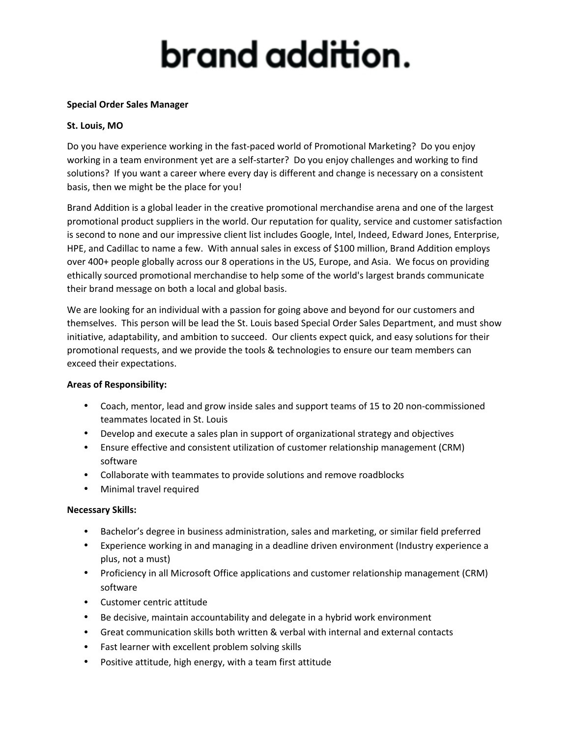# brand addition.

#### **Special Order Sales Manager**

#### **St. Louis, MO**

Do you have experience working in the fast-paced world of Promotional Marketing? Do you enjoy working in a team environment yet are a self-starter? Do you enjoy challenges and working to find solutions? If you want a career where every day is different and change is necessary on a consistent basis, then we might be the place for you!

Brand Addition is a global leader in the creative promotional merchandise arena and one of the largest promotional product suppliers in the world. Our reputation for quality, service and customer satisfaction is second to none and our impressive client list includes Google, Intel, Indeed, Edward Jones, Enterprise, HPE, and Cadillac to name a few. With annual sales in excess of \$100 million, Brand Addition employs over 400+ people globally across our 8 operations in the US, Europe, and Asia. We focus on providing ethically sourced promotional merchandise to help some of the world's largest brands communicate their brand message on both a local and global basis.

We are looking for an individual with a passion for going above and beyond for our customers and themselves. This person will be lead the St. Louis based Special Order Sales Department, and must show initiative, adaptability, and ambition to succeed. Our clients expect quick, and easy solutions for their promotional requests, and we provide the tools & technologies to ensure our team members can exceed their expectations.

#### **Areas of Responsibility:**

- Coach, mentor, lead and grow inside sales and support teams of 15 to 20 non‐commissioned teammates located in St. Louis
- Develop and execute a sales plan in support of organizational strategy and objectives
- Ensure effective and consistent utilization of customer relationship management (CRM) software
- Collaborate with teammates to provide solutions and remove roadblocks
- Minimal travel required

### **Necessary Skills:**

- Bachelor's degree in business administration, sales and marketing, or similar field preferred
- Experience working in and managing in a deadline driven environment (Industry experience a plus, not a must)
- Proficiency in all Microsoft Office applications and customer relationship management (CRM) software
- Customer centric attitude
- Be decisive, maintain accountability and delegate in a hybrid work environment
- Great communication skills both written & verbal with internal and external contacts
- Fast learner with excellent problem solving skills
- Positive attitude, high energy, with a team first attitude